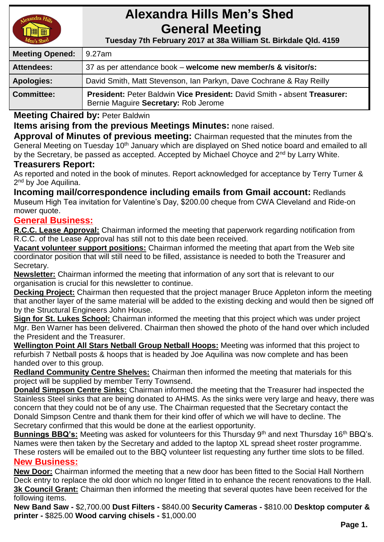

# **Alexandra Hills Men's Shed General Meeting**

 **Tuesday 7th February 2017 at 38a William St. Birkdale Qld. 4159** 

| <b>Meeting Opened:</b> | 9.27am                                                                                                           |  |
|------------------------|------------------------------------------------------------------------------------------------------------------|--|
| <b>Attendees:</b>      | 37 as per attendance book – welcome new member/s & visitor/s:                                                    |  |
| <b>Apologies:</b>      | David Smith, Matt Stevenson, Ian Parkyn, Dave Cochrane & Ray Reilly                                              |  |
| <b>Committee:</b>      | President: Peter Baldwin Vice President: David Smith - absent Treasurer:<br>Bernie Maguire Secretary: Rob Jerome |  |

**Meeting Chaired by:** Peter Baldwin

## **Items arising from the previous Meetings Minutes:** none raised.

**Approval of Minutes of previous meeting:** Chairman requested that the minutes from the General Meeting on Tuesday 10<sup>th</sup> January which are displayed on Shed notice board and emailed to all by the Secretary, be passed as accepted. Accepted by Michael Choyce and 2<sup>nd</sup> by Larry White.

#### **Treasurers Report:**

As reported and noted in the book of minutes. Report acknowledged for acceptance by Terry Turner & 2<sup>nd</sup> by Joe Aquilina.

**Incoming mail/correspondence including emails from Gmail account:** Redlands Museum High Tea invitation for Valentine's Day, \$200.00 cheque from CWA Cleveland and Ride-on mower quote.

#### **General Business:**

**R.C.C. Lease Approval:** Chairman informed the meeting that paperwork regarding notification from R.C.C. of the Lease Approval has still not to this date been received.

**Vacant volunteer support positions:** Chairman informed the meeting that apart from the Web site coordinator position that will still need to be filled, assistance is needed to both the Treasurer and Secretary.

**Newsletter:** Chairman informed the meeting that information of any sort that is relevant to our organisation is crucial for this newsletter to continue.

**Decking Project:** Chairman then requested that the project manager Bruce Appleton inform the meeting that another layer of the same material will be added to the existing decking and would then be signed off by the Structural Engineers John House.

**Sign for St. Lukes School:** Chairman informed the meeting that this project which was under project Mgr. Ben Warner has been delivered. Chairman then showed the photo of the hand over which included the President and the Treasurer.

**Wellington Point All Stars Netball Group Netball Hoops:** Meeting was informed that this project to refurbish 7 Netball posts & hoops that is headed by Joe Aquilina was now complete and has been handed over to this group.

**Redland Community Centre Shelves:** Chairman then informed the meeting that materials for this project will be supplied by member Terry Townsend.

**Donald Simpson Centre Sinks:** Chairman informed the meeting that the Treasurer had inspected the Stainless Steel sinks that are being donated to AHMS. As the sinks were very large and heavy, there was concern that they could not be of any use. The Chairman requested that the Secretary contact the Donald Simpson Centre and thank them for their kind offer of which we will have to decline. The Secretary confirmed that this would be done at the earliest opportunity.

**Bunnings BBQ's:** Meeting was asked for volunteers for this Thursday 9<sup>th</sup> and next Thursday 16<sup>th</sup> BBQ's. Names were then taken by the Secretary and added to the laptop XL spread sheet roster programme. These rosters will be emailed out to the BBQ volunteer list requesting any further time slots to be filled.

## **New Business:**

**New Door:** Chairman informed the meeting that a new door has been fitted to the Social Hall Northern Deck entry to replace the old door which no longer fitted in to enhance the recent renovations to the Hall. **3k Council Grant:** Chairman then informed the meeting that several quotes have been received for the following items.

**New Band Saw -** \$2,700.00 **Dust Filters -** \$840.00 **Security Cameras -** \$810.00 **Desktop computer & printer -** \$825.00 **Wood carving chisels -** \$1,000.00